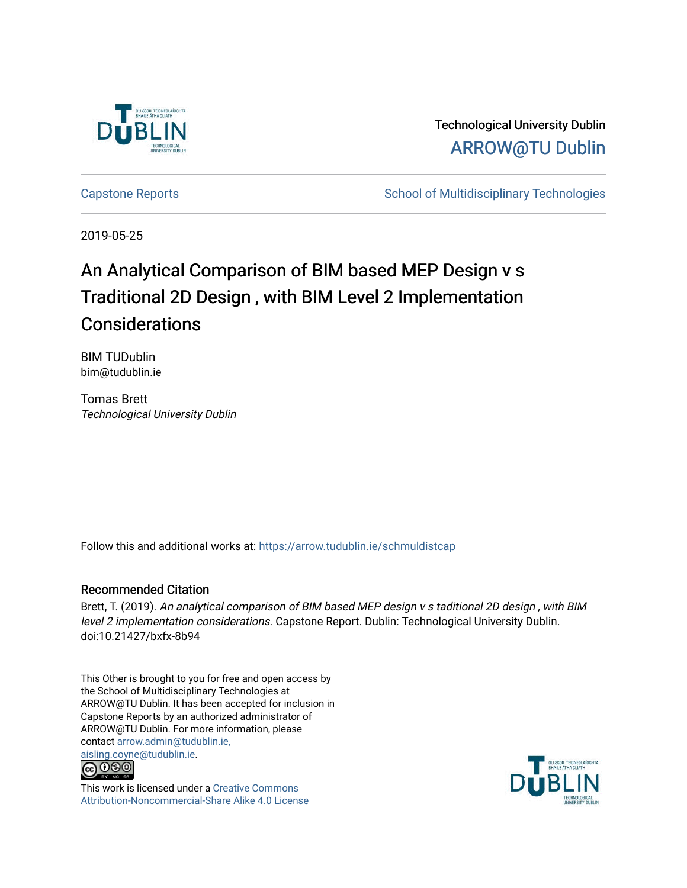

Technological University Dublin [ARROW@TU Dublin](https://arrow.tudublin.ie/) 

[Capstone Reports](https://arrow.tudublin.ie/schmuldistcap) **School of Multidisciplinary Technologies** School of Multidisciplinary Technologies

2019-05-25

# An Analytical Comparison of BIM based MEP Design v s Traditional 2D Design , with BIM Level 2 Implementation **Considerations**

BIM TUDublin bim@tudublin.ie

Tomas Brett Technological University Dublin

Follow this and additional works at: [https://arrow.tudublin.ie/schmuldistcap](https://arrow.tudublin.ie/schmuldistcap?utm_source=arrow.tudublin.ie%2Fschmuldistcap%2F10&utm_medium=PDF&utm_campaign=PDFCoverPages)

#### Recommended Citation

Brett, T. (2019). An analytical comparison of BIM based MEP design v s taditional 2D design , with BIM level 2 implementation considerations. Capstone Report. Dublin: Technological University Dublin. doi:10.21427/bxfx-8b94

This Other is brought to you for free and open access by the School of Multidisciplinary Technologies at ARROW@TU Dublin. It has been accepted for inclusion in Capstone Reports by an authorized administrator of ARROW@TU Dublin. For more information, please contact [arrow.admin@tudublin.ie,](mailto:arrow.admin@tudublin.ie,%20aisling.coyne@tudublin.ie)  [aisling.coyne@tudublin.ie.](mailto:arrow.admin@tudublin.ie,%20aisling.coyne@tudublin.ie)



This work is licensed under a [Creative Commons](http://creativecommons.org/licenses/by-nc-sa/4.0/) [Attribution-Noncommercial-Share Alike 4.0 License](http://creativecommons.org/licenses/by-nc-sa/4.0/)

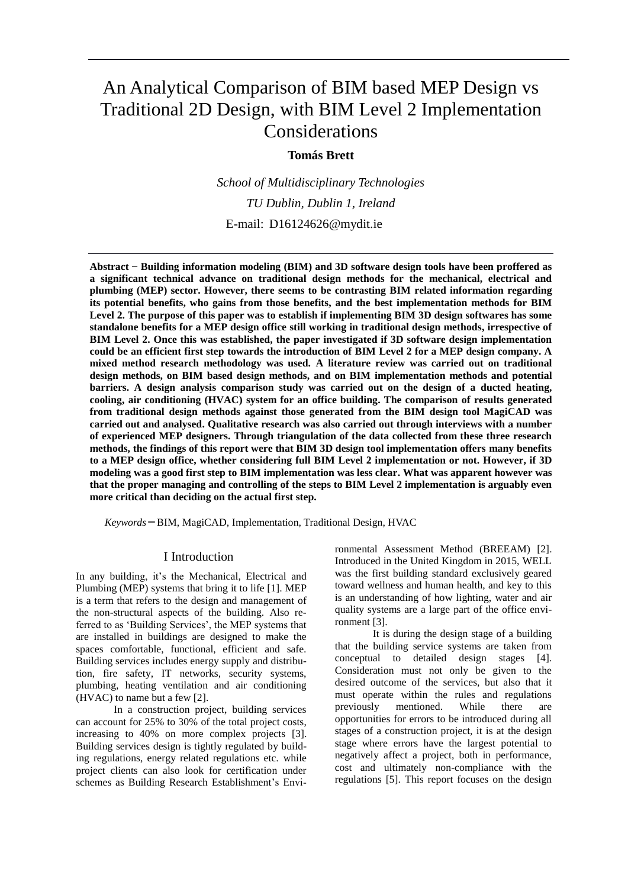## An Analytical Comparison of BIM based MEP Design vs Traditional 2D Design, with BIM Level 2 Implementation Considerations

#### **Tomás Brett**

*School of Multidisciplinary Technologies TU Dublin, Dublin 1, Ireland* E-mail: D16124626@mydit.ie

**Abstract ̶ Building information modeling (BIM) and 3D software design tools have been proffered as a significant technical advance on traditional design methods for the mechanical, electrical and plumbing (MEP) sector. However, there seems to be contrasting BIM related information regarding its potential benefits, who gains from those benefits, and the best implementation methods for BIM Level 2. The purpose of this paper was to establish if implementing BIM 3D design softwares has some standalone benefits for a MEP design office still working in traditional design methods, irrespective of BIM Level 2. Once this was established, the paper investigated if 3D software design implementation could be an efficient first step towards the introduction of BIM Level 2 for a MEP design company. A mixed method research methodology was used. A literature review was carried out on traditional design methods, on BIM based design methods, and on BIM implementation methods and potential barriers. A design analysis comparison study was carried out on the design of a ducted heating, cooling, air conditioning (HVAC) system for an office building. The comparison of results generated from traditional design methods against those generated from the BIM design tool MagiCAD was carried out and analysed. Qualitative research was also carried out through interviews with a number of experienced MEP designers. Through triangulation of the data collected from these three research methods, the findings of this report were that BIM 3D design tool implementation offers many benefits to a MEP design office, whether considering full BIM Level 2 implementation or not. However, if 3D modeling was a good first step to BIM implementation was less clear. What was apparent however was that the proper managing and controlling of the steps to BIM Level 2 implementation is arguably even more critical than deciding on the actual first step.** 

*Keywords* **̶**BIM, MagiCAD, Implementation, Traditional Design, HVAC

#### I Introduction

In any building, it's the Mechanical, Electrical and Plumbing (MEP) systems that bring it to life [1]. MEP is a term that refers to the design and management of the non-structural aspects of the building. Also referred to as 'Building Services', the MEP systems that are installed in buildings are designed to make the spaces comfortable, functional, efficient and safe. Building services includes energy supply and distribution, fire safety, IT networks, security systems, plumbing, heating ventilation and air conditioning (HVAC) to name but a few [2].

In a construction project, building services can account for 25% to 30% of the total project costs, increasing to 40% on more complex projects [3]. Building services design is tightly regulated by building regulations, energy related regulations etc. while project clients can also look for certification under schemes as Building Research Establishment's Environmental Assessment Method (BREEAM) [2]. Introduced in the United Kingdom in 2015, WELL was the first building standard exclusively geared toward wellness and human health, and key to this is an understanding of how lighting, water and air quality systems are a large part of the office environment [3].

It is during the design stage of a building that the building service systems are taken from conceptual to detailed design stages [4]. Consideration must not only be given to the desired outcome of the services, but also that it must operate within the rules and regulations previously mentioned. While there are opportunities for errors to be introduced during all stages of a construction project, it is at the design stage where errors have the largest potential to negatively affect a project, both in performance, cost and ultimately non-compliance with the regulations [5]. This report focuses on the design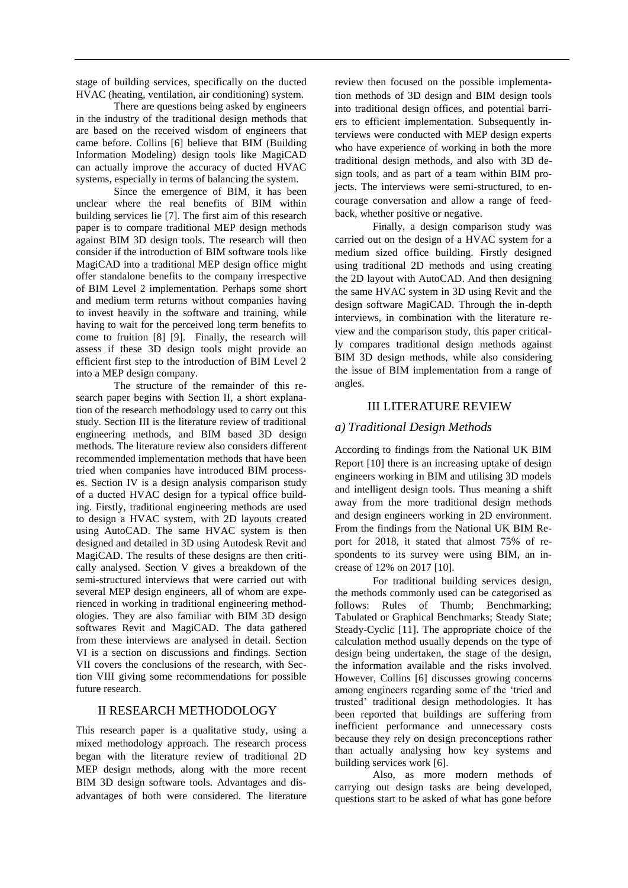stage of building services, specifically on the ducted HVAC (heating, ventilation, air conditioning) system.

There are questions being asked by engineers in the industry of the traditional design methods that are based on the received wisdom of engineers that came before. Collins [6] believe that BIM (Building Information Modeling) design tools like MagiCAD can actually improve the accuracy of ducted HVAC systems, especially in terms of balancing the system.

Since the emergence of BIM, it has been unclear where the real benefits of BIM within building services lie [7]. The first aim of this research paper is to compare traditional MEP design methods against BIM 3D design tools. The research will then consider if the introduction of BIM software tools like MagiCAD into a traditional MEP design office might offer standalone benefits to the company irrespective of BIM Level 2 implementation. Perhaps some short and medium term returns without companies having to invest heavily in the software and training, while having to wait for the perceived long term benefits to come to fruition [8] [9]. Finally, the research will assess if these 3D design tools might provide an efficient first step to the introduction of BIM Level 2 into a MEP design company.

The structure of the remainder of this research paper begins with Section II, a short explanation of the research methodology used to carry out this study. Section III is the literature review of traditional engineering methods, and BIM based 3D design methods. The literature review also considers different recommended implementation methods that have been tried when companies have introduced BIM processes. Section IV is a design analysis comparison study of a ducted HVAC design for a typical office building. Firstly, traditional engineering methods are used to design a HVAC system, with 2D layouts created using AutoCAD. The same HVAC system is then designed and detailed in 3D using Autodesk Revit and MagiCAD. The results of these designs are then critically analysed. Section V gives a breakdown of the semi-structured interviews that were carried out with several MEP design engineers, all of whom are experienced in working in traditional engineering methodologies. They are also familiar with BIM 3D design softwares Revit and MagiCAD. The data gathered from these interviews are analysed in detail. Section VI is a section on discussions and findings. Section VII covers the conclusions of the research, with Section VIII giving some recommendations for possible future research.

#### II RESEARCH METHODOLOGY

This research paper is a qualitative study, using a mixed methodology approach. The research process began with the literature review of traditional 2D MEP design methods, along with the more recent BIM 3D design software tools. Advantages and disadvantages of both were considered. The literature review then focused on the possible implementation methods of 3D design and BIM design tools into traditional design offices, and potential barriers to efficient implementation. Subsequently interviews were conducted with MEP design experts who have experience of working in both the more traditional design methods, and also with 3D design tools, and as part of a team within BIM projects. The interviews were semi-structured, to encourage conversation and allow a range of feedback, whether positive or negative.

Finally, a design comparison study was carried out on the design of a HVAC system for a medium sized office building. Firstly designed using traditional 2D methods and using creating the 2D layout with AutoCAD. And then designing the same HVAC system in 3D using Revit and the design software MagiCAD. Through the in-depth interviews, in combination with the literature review and the comparison study, this paper critically compares traditional design methods against BIM 3D design methods, while also considering the issue of BIM implementation from a range of angles.

#### III LITERATURE REVIEW

#### *a) Traditional Design Methods*

According to findings from the National UK BIM Report [10] there is an increasing uptake of design engineers working in BIM and utilising 3D models and intelligent design tools. Thus meaning a shift away from the more traditional design methods and design engineers working in 2D environment. From the findings from the National UK BIM Report for 2018, it stated that almost 75% of respondents to its survey were using BIM, an increase of 12% on 2017 [10].

For traditional building services design, the methods commonly used can be categorised as follows: Rules of Thumb; Benchmarking; Tabulated or Graphical Benchmarks; Steady State; Steady-Cyclic [11]. The appropriate choice of the calculation method usually depends on the type of design being undertaken, the stage of the design, the information available and the risks involved. However, Collins [6] discusses growing concerns among engineers regarding some of the 'tried and trusted' traditional design methodologies. It has been reported that buildings are suffering from inefficient performance and unnecessary costs because they rely on design preconceptions rather than actually analysing how key systems and building services work [6].

Also, as more modern methods of carrying out design tasks are being developed, questions start to be asked of what has gone before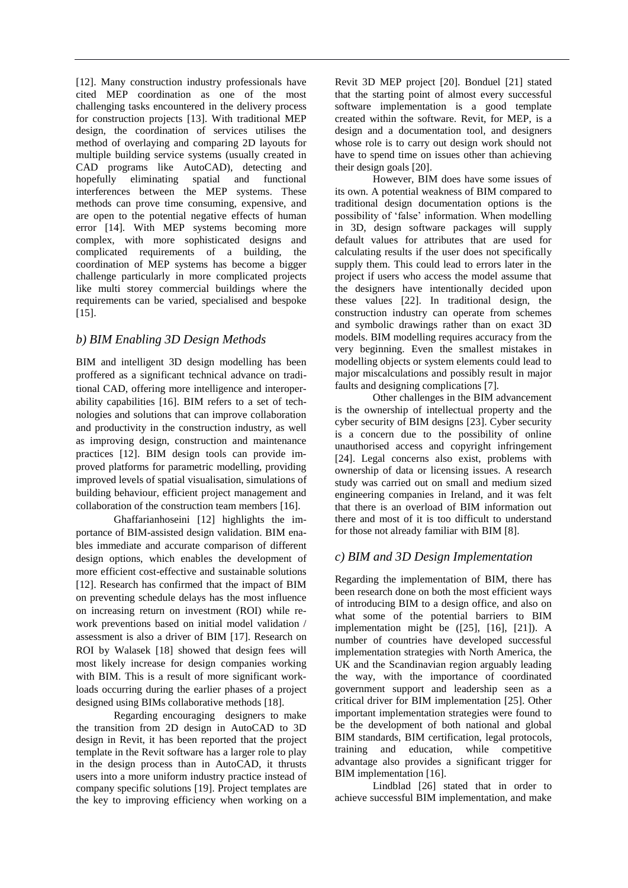[12]. Many construction industry professionals have cited MEP coordination as one of the most challenging tasks encountered in the delivery process for construction projects [13]. With traditional MEP design, the coordination of services utilises the method of overlaying and comparing 2D layouts for multiple building service systems (usually created in CAD programs like AutoCAD), detecting and hopefully eliminating spatial and functional interferences between the MEP systems. These methods can prove time consuming, expensive, and are open to the potential negative effects of human error [14]. With MEP systems becoming more complex, with more sophisticated designs and complicated requirements of a building, the coordination of MEP systems has become a bigger challenge particularly in more complicated projects like multi storey commercial buildings where the requirements can be varied, specialised and bespoke [15].

## *b) BIM Enabling 3D Design Methods*

BIM and intelligent 3D design modelling has been proffered as a significant technical advance on traditional CAD, offering more intelligence and interoperability capabilities [16]. BIM refers to a set of technologies and solutions that can improve collaboration and productivity in the construction industry, as well as improving design, construction and maintenance practices [12]. BIM design tools can provide improved platforms for parametric modelling, providing improved levels of spatial visualisation, simulations of building behaviour, efficient project management and collaboration of the construction team members [16].

Ghaffarianhoseini [12] highlights the importance of BIM-assisted design validation. BIM enables immediate and accurate comparison of different design options, which enables the development of more efficient cost-effective and sustainable solutions [12]. Research has confirmed that the impact of BIM on preventing schedule delays has the most influence on increasing return on investment (ROI) while rework preventions based on initial model validation / assessment is also a driver of BIM [17]. Research on ROI by Walasek [18] showed that design fees will most likely increase for design companies working with BIM. This is a result of more significant workloads occurring during the earlier phases of a project designed using BIMs collaborative methods [18].

Regarding encouraging designers to make the transition from 2D design in AutoCAD to 3D design in Revit, it has been reported that the project template in the Revit software has a larger role to play in the design process than in AutoCAD, it thrusts users into a more uniform industry practice instead of company specific solutions [19]. Project templates are the key to improving efficiency when working on a

Revit 3D MEP project [20]. Bonduel [21] stated that the starting point of almost every successful software implementation is a good template created within the software. Revit, for MEP, is a design and a documentation tool, and designers whose role is to carry out design work should not have to spend time on issues other than achieving their design goals [20].

However, BIM does have some issues of its own. A potential weakness of BIM compared to traditional design documentation options is the possibility of 'false' information. When modelling in 3D, design software packages will supply default values for attributes that are used for calculating results if the user does not specifically supply them. This could lead to errors later in the project if users who access the model assume that the designers have intentionally decided upon these values [22]. In traditional design, the construction industry can operate from schemes and symbolic drawings rather than on exact 3D models. BIM modelling requires accuracy from the very beginning. Even the smallest mistakes in modelling objects or system elements could lead to major miscalculations and possibly result in major faults and designing complications [7]*.* 

Other challenges in the BIM advancement is the ownership of intellectual property and the cyber security of BIM designs [23]. Cyber security is a concern due to the possibility of online unauthorised access and copyright infringement [24]. Legal concerns also exist, problems with ownership of data or licensing issues. A research study was carried out on small and medium sized engineering companies in Ireland, and it was felt that there is an overload of BIM information out there and most of it is too difficult to understand for those not already familiar with BIM [8].

## *c) BIM and 3D Design Implementation*

Regarding the implementation of BIM, there has been research done on both the most efficient ways of introducing BIM to a design office, and also on what some of the potential barriers to BIM implementation might be ([25], [16], [21]). A number of countries have developed successful implementation strategies with North America, the UK and the Scandinavian region arguably leading the way, with the importance of coordinated government support and leadership seen as a critical driver for BIM implementation [25]. Other important implementation strategies were found to be the development of both national and global BIM standards, BIM certification, legal protocols, training and education, while competitive advantage also provides a significant trigger for BIM implementation [16].

Lindblad [26] stated that in order to achieve successful BIM implementation, and make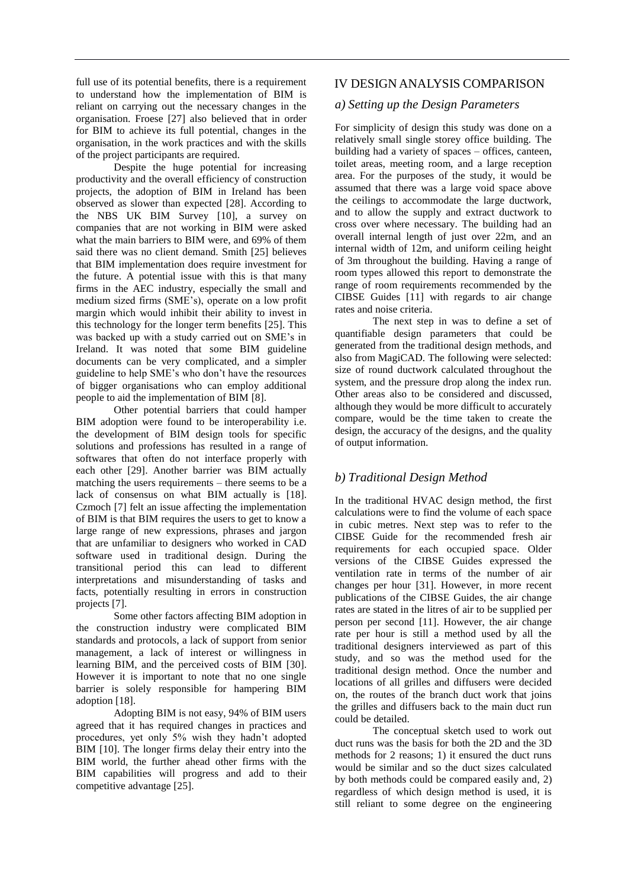full use of its potential benefits, there is a requirement to understand how the implementation of BIM is reliant on carrying out the necessary changes in the organisation. Froese [27] also believed that in order for BIM to achieve its full potential, changes in the organisation, in the work practices and with the skills of the project participants are required.

Despite the huge potential for increasing productivity and the overall efficiency of construction projects, the adoption of BIM in Ireland has been observed as slower than expected [28]. According to the NBS UK BIM Survey [10], a survey on companies that are not working in BIM were asked what the main barriers to BIM were, and 69% of them said there was no client demand. Smith [25] believes that BIM implementation does require investment for the future. A potential issue with this is that many firms in the AEC industry, especially the small and medium sized firms (SME's), operate on a low profit margin which would inhibit their ability to invest in this technology for the longer term benefits [25]. This was backed up with a study carried out on SME's in Ireland. It was noted that some BIM guideline documents can be very complicated, and a simpler guideline to help SME's who don't have the resources of bigger organisations who can employ additional people to aid the implementation of BIM [8].

Other potential barriers that could hamper BIM adoption were found to be interoperability i.e. the development of BIM design tools for specific solutions and professions has resulted in a range of softwares that often do not interface properly with each other [29]. Another barrier was BIM actually matching the users requirements – there seems to be a lack of consensus on what BIM actually is [18]. Czmoch [7] felt an issue affecting the implementation of BIM is that BIM requires the users to get to know a large range of new expressions, phrases and jargon that are unfamiliar to designers who worked in CAD software used in traditional design. During the transitional period this can lead to different interpretations and misunderstanding of tasks and facts, potentially resulting in errors in construction projects [7].

Some other factors affecting BIM adoption in the construction industry were complicated BIM standards and protocols, a lack of support from senior management, a lack of interest or willingness in learning BIM, and the perceived costs of BIM [30]. However it is important to note that no one single barrier is solely responsible for hampering BIM adoption [18].

Adopting BIM is not easy, 94% of BIM users agreed that it has required changes in practices and procedures, yet only 5% wish they hadn't adopted BIM [10]. The longer firms delay their entry into the BIM world, the further ahead other firms with the BIM capabilities will progress and add to their competitive advantage [25].

## IV DESIGN ANALYSIS COMPARISON

## *a) Setting up the Design Parameters*

For simplicity of design this study was done on a relatively small single storey office building. The building had a variety of spaces – offices, canteen, toilet areas, meeting room, and a large reception area. For the purposes of the study, it would be assumed that there was a large void space above the ceilings to accommodate the large ductwork, and to allow the supply and extract ductwork to cross over where necessary. The building had an overall internal length of just over 22m, and an internal width of 12m, and uniform ceiling height of 3m throughout the building. Having a range of room types allowed this report to demonstrate the range of room requirements recommended by the CIBSE Guides [11] with regards to air change rates and noise criteria.

The next step in was to define a set of quantifiable design parameters that could be generated from the traditional design methods, and also from MagiCAD. The following were selected: size of round ductwork calculated throughout the system, and the pressure drop along the index run. Other areas also to be considered and discussed, although they would be more difficult to accurately compare, would be the time taken to create the design, the accuracy of the designs, and the quality of output information.

## *b) Traditional Design Method*

In the traditional HVAC design method, the first calculations were to find the volume of each space in cubic metres. Next step was to refer to the CIBSE Guide for the recommended fresh air requirements for each occupied space. Older versions of the CIBSE Guides expressed the ventilation rate in terms of the number of air changes per hour [31]. However, in more recent publications of the CIBSE Guides, the air change rates are stated in the litres of air to be supplied per person per second [11]. However, the air change rate per hour is still a method used by all the traditional designers interviewed as part of this study, and so was the method used for the traditional design method. Once the number and locations of all grilles and diffusers were decided on, the routes of the branch duct work that joins the grilles and diffusers back to the main duct run could be detailed.

The conceptual sketch used to work out duct runs was the basis for both the 2D and the 3D methods for 2 reasons; 1) it ensured the duct runs would be similar and so the duct sizes calculated by both methods could be compared easily and, 2) regardless of which design method is used, it is still reliant to some degree on the engineering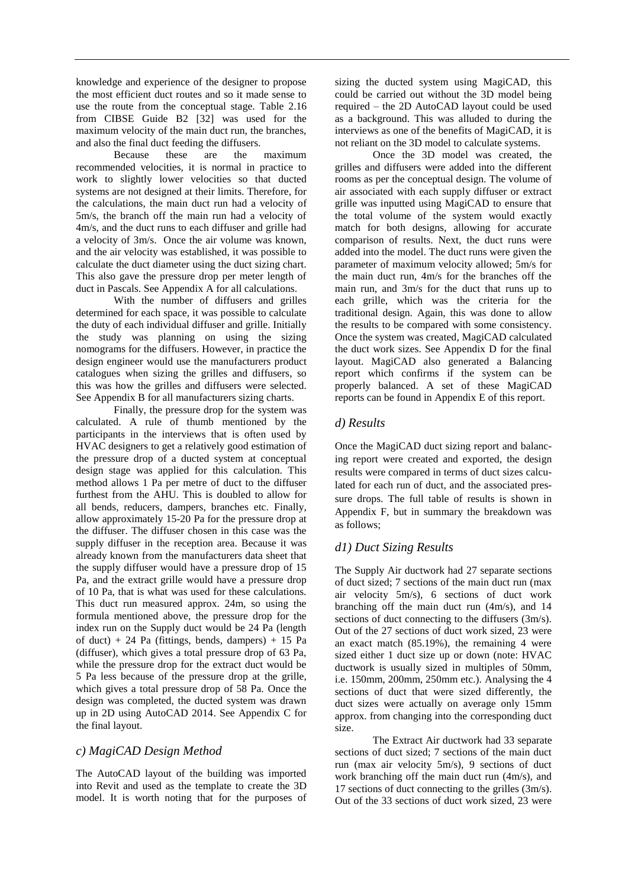knowledge and experience of the designer to propose the most efficient duct routes and so it made sense to use the route from the conceptual stage. Table 2.16 from CIBSE Guide B2 [32] was used for the maximum velocity of the main duct run, the branches, and also the final duct feeding the diffusers.

Because these are the maximum recommended velocities, it is normal in practice to work to slightly lower velocities so that ducted systems are not designed at their limits. Therefore, for the calculations, the main duct run had a velocity of 5m/s, the branch off the main run had a velocity of 4m/s, and the duct runs to each diffuser and grille had a velocity of 3m/s. Once the air volume was known, and the air velocity was established, it was possible to calculate the duct diameter using the duct sizing chart. This also gave the pressure drop per meter length of duct in Pascals. See Appendix A for all calculations.

With the number of diffusers and grilles determined for each space, it was possible to calculate the duty of each individual diffuser and grille. Initially the study was planning on using the sizing nomograms for the diffusers. However, in practice the design engineer would use the manufacturers product catalogues when sizing the grilles and diffusers, so this was how the grilles and diffusers were selected. See Appendix B for all manufacturers sizing charts.

Finally, the pressure drop for the system was calculated. A rule of thumb mentioned by the participants in the interviews that is often used by HVAC designers to get a relatively good estimation of the pressure drop of a ducted system at conceptual design stage was applied for this calculation. This method allows 1 Pa per metre of duct to the diffuser furthest from the AHU. This is doubled to allow for all bends, reducers, dampers, branches etc. Finally, allow approximately 15-20 Pa for the pressure drop at the diffuser. The diffuser chosen in this case was the supply diffuser in the reception area. Because it was already known from the manufacturers data sheet that the supply diffuser would have a pressure drop of 15 Pa, and the extract grille would have a pressure drop of 10 Pa, that is what was used for these calculations. This duct run measured approx. 24m, so using the formula mentioned above, the pressure drop for the index run on the Supply duct would be 24 Pa (length of duct) + 24 Pa (fittings, bends, dampers) + 15 Pa (diffuser), which gives a total pressure drop of 63 Pa, while the pressure drop for the extract duct would be 5 Pa less because of the pressure drop at the grille, which gives a total pressure drop of 58 Pa. Once the design was completed, the ducted system was drawn up in 2D using AutoCAD 2014. See Appendix C for the final layout.

#### *c) MagiCAD Design Method*

The AutoCAD layout of the building was imported into Revit and used as the template to create the 3D model. It is worth noting that for the purposes of sizing the ducted system using MagiCAD, this could be carried out without the 3D model being required – the 2D AutoCAD layout could be used as a background. This was alluded to during the interviews as one of the benefits of MagiCAD, it is not reliant on the 3D model to calculate systems.

Once the 3D model was created, the grilles and diffusers were added into the different rooms as per the conceptual design. The volume of air associated with each supply diffuser or extract grille was inputted using MagiCAD to ensure that the total volume of the system would exactly match for both designs, allowing for accurate comparison of results. Next, the duct runs were added into the model. The duct runs were given the parameter of maximum velocity allowed; 5m/s for the main duct run, 4m/s for the branches off the main run, and 3m/s for the duct that runs up to each grille, which was the criteria for the traditional design. Again, this was done to allow the results to be compared with some consistency. Once the system was created, MagiCAD calculated the duct work sizes. See Appendix D for the final layout. MagiCAD also generated a Balancing report which confirms if the system can be properly balanced. A set of these MagiCAD reports can be found in Appendix E of this report.

#### *d) Results*

Once the MagiCAD duct sizing report and balancing report were created and exported, the design results were compared in terms of duct sizes calculated for each run of duct, and the associated pressure drops. The full table of results is shown in Appendix F, but in summary the breakdown was as follows;

## *d1) Duct Sizing Results*

The Supply Air ductwork had 27 separate sections of duct sized; 7 sections of the main duct run (max air velocity 5m/s), 6 sections of duct work branching off the main duct run (4m/s), and 14 sections of duct connecting to the diffusers (3m/s). Out of the 27 sections of duct work sized, 23 were an exact match (85.19%), the remaining 4 were sized either 1 duct size up or down (note: HVAC ductwork is usually sized in multiples of 50mm, i.e. 150mm, 200mm, 250mm etc.). Analysing the 4 sections of duct that were sized differently, the duct sizes were actually on average only 15mm approx. from changing into the corresponding duct size.

The Extract Air ductwork had 33 separate sections of duct sized; 7 sections of the main duct run (max air velocity 5m/s), 9 sections of duct work branching off the main duct run (4m/s), and 17 sections of duct connecting to the grilles (3m/s). Out of the 33 sections of duct work sized, 23 were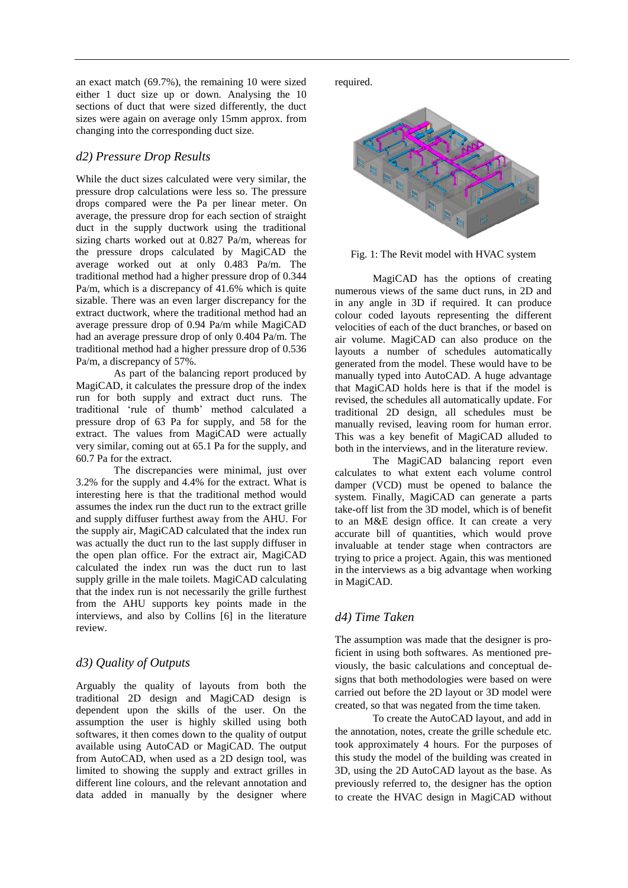an exact match (69.7%), the remaining 10 were sized either 1 duct size up or down. Analysing the 10 sections of duct that were sized differently, the duct sizes were again on average only 15mm approx. from changing into the corresponding duct size.

#### *d2) Pressure Drop Results*

While the duct sizes calculated were very similar, the pressure drop calculations were less so. The pressure drops compared were the Pa per linear meter. On average, the pressure drop for each section of straight duct in the supply ductwork using the traditional sizing charts worked out at 0.827 Pa/m, whereas for the pressure drops calculated by MagiCAD the average worked out at only 0.483 Pa/m. The traditional method had a higher pressure drop of 0.344 Pa/m, which is a discrepancy of 41.6% which is quite sizable. There was an even larger discrepancy for the extract ductwork, where the traditional method had an average pressure drop of 0.94 Pa/m while MagiCAD had an average pressure drop of only 0.404 Pa/m. The traditional method had a higher pressure drop of 0.536 Pa/m, a discrepancy of 57%.

As part of the balancing report produced by MagiCAD, it calculates the pressure drop of the index run for both supply and extract duct runs. The traditional 'rule of thumb' method calculated a pressure drop of 63 Pa for supply, and 58 for the extract. The values from MagiCAD were actually very similar, coming out at 65.1 Pa for the supply, and 60.7 Pa for the extract.

The discrepancies were minimal, just over 3.2% for the supply and 4.4% for the extract. What is interesting here is that the traditional method would assumes the index run the duct run to the extract grille and supply diffuser furthest away from the AHU. For the supply air, MagiCAD calculated that the index run was actually the duct run to the last supply diffuser in the open plan office. For the extract air, MagiCAD calculated the index run was the duct run to last supply grille in the male toilets. MagiCAD calculating that the index run is not necessarily the grille furthest from the AHU supports key points made in the interviews, and also by Collins [6] in the literature review.

## *d3) Quality of Outputs*

Arguably the quality of layouts from both the traditional 2D design and MagiCAD design is dependent upon the skills of the user. On the assumption the user is highly skilled using both softwares, it then comes down to the quality of output available using AutoCAD or MagiCAD. The output from AutoCAD, when used as a 2D design tool, was limited to showing the supply and extract grilles in different line colours, and the relevant annotation and data added in manually by the designer where

required.



Fig. 1: The Revit model with HVAC system

MagiCAD has the options of creating numerous views of the same duct runs, in 2D and in any angle in 3D if required. It can produce colour coded layouts representing the different velocities of each of the duct branches, or based on air volume. MagiCAD can also produce on the layouts a number of schedules automatically generated from the model. These would have to be manually typed into AutoCAD. A huge advantage that MagiCAD holds here is that if the model is revised, the schedules all automatically update. For traditional 2D design, all schedules must be manually revised, leaving room for human error. This was a key benefit of MagiCAD alluded to both in the interviews, and in the literature review.

The MagiCAD balancing report even calculates to what extent each volume control damper (VCD) must be opened to balance the system. Finally, MagiCAD can generate a parts take-off list from the 3D model, which is of benefit to an M&E design office. It can create a very accurate bill of quantities, which would prove invaluable at tender stage when contractors are trying to price a project. Again, this was mentioned in the interviews as a big advantage when working in MagiCAD.

## *d4) Time Taken*

The assumption was made that the designer is proficient in using both softwares. As mentioned previously, the basic calculations and conceptual designs that both methodologies were based on were carried out before the 2D layout or 3D model were created, so that was negated from the time taken.

To create the AutoCAD layout, and add in the annotation, notes, create the grille schedule etc. took approximately 4 hours. For the purposes of this study the model of the building was created in 3D, using the 2D AutoCAD layout as the base. As previously referred to, the designer has the option to create the HVAC design in MagiCAD without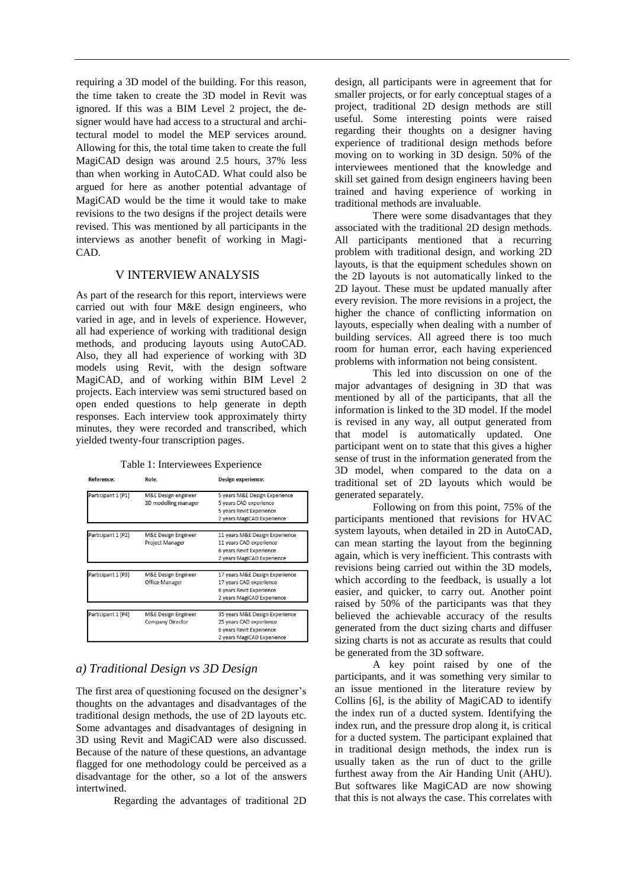requiring a 3D model of the building. For this reason, the time taken to create the 3D model in Revit was ignored. If this was a BIM Level 2 project, the designer would have had access to a structural and architectural model to model the MEP services around. Allowing for this, the total time taken to create the full MagiCAD design was around 2.5 hours, 37% less than when working in AutoCAD. What could also be argued for here as another potential advantage of MagiCAD would be the time it would take to make revisions to the two designs if the project details were revised. This was mentioned by all participants in the interviews as another benefit of working in Magi-CAD.

#### V INTERVIEWANALYSIS

As part of the research for this report, interviews were carried out with four M&E design engineers, who varied in age, and in levels of experience. However, all had experience of working with traditional design methods, and producing layouts using AutoCAD. Also, they all had experience of working with 3D models using Revit, with the design software MagiCAD, and of working within BIM Level 2 projects. Each interview was semi structured based on open ended questions to help generate in depth responses. Each interview took approximately thirty minutes, they were recorded and transcribed, which yielded twenty-four transcription pages.

Table 1: Interviewees Experience

| <b>Reference:</b>  | Role:                | Design experience:             |
|--------------------|----------------------|--------------------------------|
| Participant 1 (P1) | M&E Design engineer  | 5 years M&E Design Experience  |
|                    | 3D modelling manager | 5 years CAD experience         |
|                    |                      | 5 years Revit Experience       |
|                    |                      | 2 years MagiCAD Experience     |
|                    |                      |                                |
| Participant 1 (P2) | M&E Design Engineer  | 11 years M&E Design Experience |
|                    | Project Manager      | 11 years CAD experience        |
|                    |                      | 6 years Revit Experience       |
|                    |                      | 2 years MagiCAD Experience     |
|                    |                      |                                |
| Participant 1 (P3) | M&E Design Engineer  | 17 years M&E Design Experience |
|                    | Office Manager       | 17 years CAD experience        |
|                    |                      | 6 years Revit Experience       |
|                    |                      | 2 years MagiCAD Experience     |
|                    |                      |                                |
| Participant 1 (P4) | M&E Design Engineer  | 35 years M&E Design Experience |
|                    | Company Director     | 25 years CAD experience        |
|                    |                      | 6 years Revit Experience       |
|                    |                      | 2 years MagiCAD Experience     |

#### *a) Traditional Design vs 3D Design*

The first area of questioning focused on the designer's thoughts on the advantages and disadvantages of the traditional design methods, the use of 2D layouts etc. Some advantages and disadvantages of designing in 3D using Revit and MagiCAD were also discussed. Because of the nature of these questions, an advantage flagged for one methodology could be perceived as a disadvantage for the other, so a lot of the answers intertwined.

Regarding the advantages of traditional 2D

design, all participants were in agreement that for smaller projects, or for early conceptual stages of a project, traditional 2D design methods are still useful. Some interesting points were raised regarding their thoughts on a designer having experience of traditional design methods before moving on to working in 3D design. 50% of the interviewees mentioned that the knowledge and skill set gained from design engineers having been trained and having experience of working in traditional methods are invaluable.

There were some disadvantages that they associated with the traditional 2D design methods. All participants mentioned that a recurring problem with traditional design, and working 2D layouts, is that the equipment schedules shown on the 2D layouts is not automatically linked to the 2D layout. These must be updated manually after every revision. The more revisions in a project, the higher the chance of conflicting information on layouts, especially when dealing with a number of building services. All agreed there is too much room for human error, each having experienced problems with information not being consistent.

This led into discussion on one of the major advantages of designing in 3D that was mentioned by all of the participants, that all the information is linked to the 3D model. If the model is revised in any way, all output generated from that model is automatically updated. One participant went on to state that this gives a higher sense of trust in the information generated from the 3D model, when compared to the data on a traditional set of 2D layouts which would be generated separately.

Following on from this point, 75% of the participants mentioned that revisions for HVAC system layouts, when detailed in 2D in AutoCAD, can mean starting the layout from the beginning again, which is very inefficient. This contrasts with revisions being carried out within the 3D models, which according to the feedback, is usually a lot easier, and quicker, to carry out. Another point raised by 50% of the participants was that they believed the achievable accuracy of the results generated from the duct sizing charts and diffuser sizing charts is not as accurate as results that could be generated from the 3D software.

A key point raised by one of the participants, and it was something very similar to an issue mentioned in the literature review by Collins [6], is the ability of MagiCAD to identify the index run of a ducted system. Identifying the index run, and the pressure drop along it, is critical for a ducted system. The participant explained that in traditional design methods, the index run is usually taken as the run of duct to the grille furthest away from the Air Handing Unit (AHU). But softwares like MagiCAD are now showing that this is not always the case. This correlates with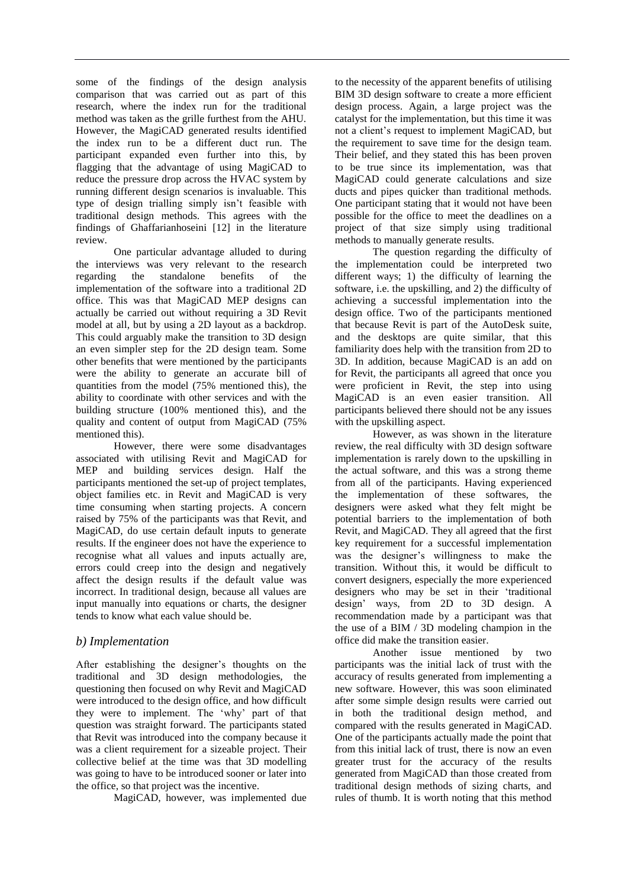some of the findings of the design analysis comparison that was carried out as part of this research, where the index run for the traditional method was taken as the grille furthest from the AHU. However, the MagiCAD generated results identified the index run to be a different duct run. The participant expanded even further into this, by flagging that the advantage of using MagiCAD to reduce the pressure drop across the HVAC system by running different design scenarios is invaluable. This type of design trialling simply isn't feasible with traditional design methods. This agrees with the findings of Ghaffarianhoseini [12] in the literature review.

One particular advantage alluded to during the interviews was very relevant to the research regarding the standalone benefits of the implementation of the software into a traditional 2D office. This was that MagiCAD MEP designs can actually be carried out without requiring a 3D Revit model at all, but by using a 2D layout as a backdrop. This could arguably make the transition to 3D design an even simpler step for the 2D design team. Some other benefits that were mentioned by the participants were the ability to generate an accurate bill of quantities from the model (75% mentioned this), the ability to coordinate with other services and with the building structure (100% mentioned this), and the quality and content of output from MagiCAD (75% mentioned this).

However, there were some disadvantages associated with utilising Revit and MagiCAD for MEP and building services design. Half the participants mentioned the set-up of project templates, object families etc. in Revit and MagiCAD is very time consuming when starting projects. A concern raised by 75% of the participants was that Revit, and MagiCAD, do use certain default inputs to generate results. If the engineer does not have the experience to recognise what all values and inputs actually are, errors could creep into the design and negatively affect the design results if the default value was incorrect. In traditional design, because all values are input manually into equations or charts, the designer tends to know what each value should be.

#### *b) Implementation*

After establishing the designer's thoughts on the traditional and 3D design methodologies, the questioning then focused on why Revit and MagiCAD were introduced to the design office, and how difficult they were to implement. The 'why' part of that question was straight forward. The participants stated that Revit was introduced into the company because it was a client requirement for a sizeable project. Their collective belief at the time was that 3D modelling was going to have to be introduced sooner or later into the office, so that project was the incentive.

MagiCAD, however, was implemented due

to the necessity of the apparent benefits of utilising BIM 3D design software to create a more efficient design process. Again, a large project was the catalyst for the implementation, but this time it was not a client's request to implement MagiCAD, but the requirement to save time for the design team. Their belief, and they stated this has been proven to be true since its implementation, was that MagiCAD could generate calculations and size ducts and pipes quicker than traditional methods. One participant stating that it would not have been possible for the office to meet the deadlines on a project of that size simply using traditional methods to manually generate results.

The question regarding the difficulty of the implementation could be interpreted two different ways; 1) the difficulty of learning the software, i.e. the upskilling, and 2) the difficulty of achieving a successful implementation into the design office. Two of the participants mentioned that because Revit is part of the AutoDesk suite, and the desktops are quite similar, that this familiarity does help with the transition from 2D to 3D. In addition, because MagiCAD is an add on for Revit, the participants all agreed that once you were proficient in Revit, the step into using MagiCAD is an even easier transition. All participants believed there should not be any issues with the upskilling aspect.

However, as was shown in the literature review, the real difficulty with 3D design software implementation is rarely down to the upskilling in the actual software, and this was a strong theme from all of the participants. Having experienced the implementation of these softwares, the designers were asked what they felt might be potential barriers to the implementation of both Revit, and MagiCAD. They all agreed that the first key requirement for a successful implementation was the designer's willingness to make the transition. Without this, it would be difficult to convert designers, especially the more experienced designers who may be set in their 'traditional design' ways, from 2D to 3D design. A recommendation made by a participant was that the use of a BIM / 3D modeling champion in the office did make the transition easier.

Another issue mentioned by two participants was the initial lack of trust with the accuracy of results generated from implementing a new software. However, this was soon eliminated after some simple design results were carried out in both the traditional design method, and compared with the results generated in MagiCAD. One of the participants actually made the point that from this initial lack of trust, there is now an even greater trust for the accuracy of the results generated from MagiCAD than those created from traditional design methods of sizing charts, and rules of thumb. It is worth noting that this method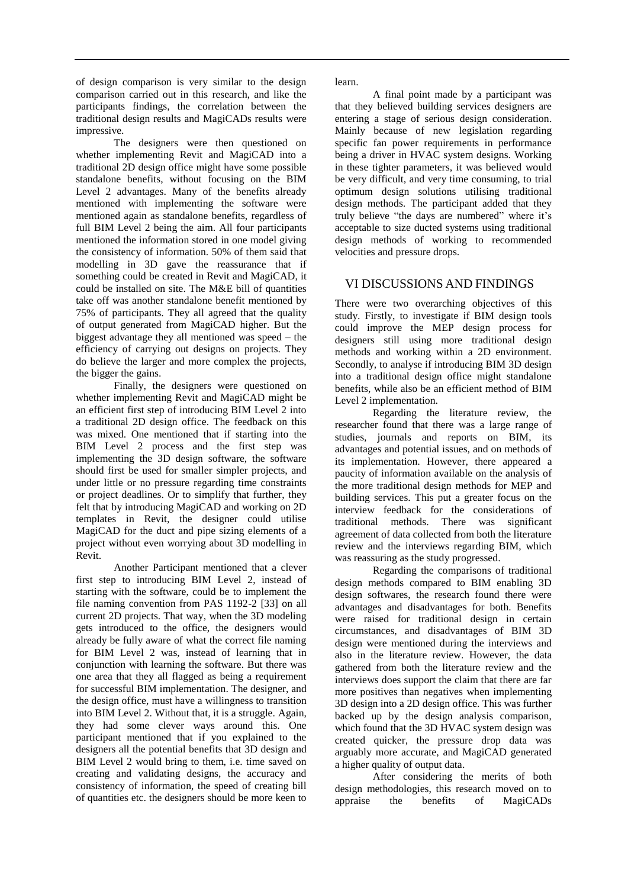of design comparison is very similar to the design comparison carried out in this research, and like the participants findings, the correlation between the traditional design results and MagiCADs results were impressive.

The designers were then questioned on whether implementing Revit and MagiCAD into a traditional 2D design office might have some possible standalone benefits, without focusing on the BIM Level 2 advantages. Many of the benefits already mentioned with implementing the software were mentioned again as standalone benefits, regardless of full BIM Level 2 being the aim. All four participants mentioned the information stored in one model giving the consistency of information. 50% of them said that modelling in 3D gave the reassurance that if something could be created in Revit and MagiCAD, it could be installed on site. The M&E bill of quantities take off was another standalone benefit mentioned by 75% of participants. They all agreed that the quality of output generated from MagiCAD higher. But the biggest advantage they all mentioned was speed – the efficiency of carrying out designs on projects. They do believe the larger and more complex the projects, the bigger the gains.

Finally, the designers were questioned on whether implementing Revit and MagiCAD might be an efficient first step of introducing BIM Level 2 into a traditional 2D design office. The feedback on this was mixed. One mentioned that if starting into the BIM Level 2 process and the first step was implementing the 3D design software, the software should first be used for smaller simpler projects, and under little or no pressure regarding time constraints or project deadlines. Or to simplify that further, they felt that by introducing MagiCAD and working on 2D templates in Revit, the designer could utilise MagiCAD for the duct and pipe sizing elements of a project without even worrying about 3D modelling in Revit.

Another Participant mentioned that a clever first step to introducing BIM Level 2, instead of starting with the software, could be to implement the file naming convention from PAS 1192-2 [33] on all current 2D projects. That way, when the 3D modeling gets introduced to the office, the designers would already be fully aware of what the correct file naming for BIM Level 2 was, instead of learning that in conjunction with learning the software. But there was one area that they all flagged as being a requirement for successful BIM implementation. The designer, and the design office, must have a willingness to transition into BIM Level 2. Without that, it is a struggle. Again, they had some clever ways around this. One participant mentioned that if you explained to the designers all the potential benefits that 3D design and BIM Level 2 would bring to them, i.e. time saved on creating and validating designs, the accuracy and consistency of information, the speed of creating bill of quantities etc. the designers should be more keen to

learn.

A final point made by a participant was that they believed building services designers are entering a stage of serious design consideration. Mainly because of new legislation regarding specific fan power requirements in performance being a driver in HVAC system designs. Working in these tighter parameters, it was believed would be very difficult, and very time consuming, to trial optimum design solutions utilising traditional design methods. The participant added that they truly believe "the days are numbered" where it's acceptable to size ducted systems using traditional design methods of working to recommended velocities and pressure drops.

## VI DISCUSSIONS AND FINDINGS

There were two overarching objectives of this study. Firstly, to investigate if BIM design tools could improve the MEP design process for designers still using more traditional design methods and working within a 2D environment. Secondly, to analyse if introducing BIM 3D design into a traditional design office might standalone benefits, while also be an efficient method of BIM Level 2 implementation.

Regarding the literature review, the researcher found that there was a large range of studies, journals and reports on BIM, its advantages and potential issues, and on methods of its implementation. However, there appeared a paucity of information available on the analysis of the more traditional design methods for MEP and building services. This put a greater focus on the interview feedback for the considerations of traditional methods. There was significant agreement of data collected from both the literature review and the interviews regarding BIM, which was reassuring as the study progressed.

Regarding the comparisons of traditional design methods compared to BIM enabling 3D design softwares, the research found there were advantages and disadvantages for both. Benefits were raised for traditional design in certain circumstances, and disadvantages of BIM 3D design were mentioned during the interviews and also in the literature review. However, the data gathered from both the literature review and the interviews does support the claim that there are far more positives than negatives when implementing 3D design into a 2D design office. This was further backed up by the design analysis comparison, which found that the 3D HVAC system design was created quicker, the pressure drop data was arguably more accurate, and MagiCAD generated a higher quality of output data.

After considering the merits of both design methodologies, this research moved on to appraise the benefits of MagiCADs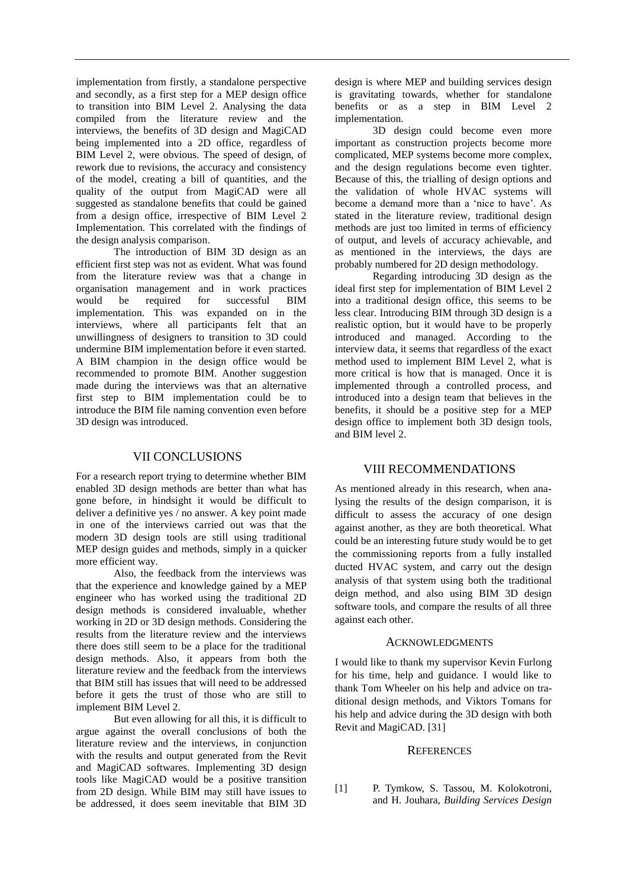implementation from firstly, a standalone perspective and secondly, as a first step for a MEP design office to transition into BIM Level 2. Analysing the data compiled from the literature review and the interviews, the benefits of 3D design and MagiCAD being implemented into a 2D office, regardless of BIM Level 2, were obvious. The speed of design, of rework due to revisions, the accuracy and consistency of the model, creating a bill of quantities, and the quality of the output from MagiCAD were all suggested as standalone benefits that could be gained from a design office, irrespective of BIM Level 2 Implementation. This correlated with the findings of the design analysis comparison.

The introduction of BIM 3D design as an efficient first step was not as evident. What was found from the literature review was that a change in organisation management and in work practices would be required for successful BIM implementation. This was expanded on in the interviews, where all participants felt that an unwillingness of designers to transition to 3D could undermine BIM implementation before it even started. A BIM champion in the design office would be recommended to promote BIM. Another suggestion made during the interviews was that an alternative first step to BIM implementation could be to introduce the BIM file naming convention even before 3D design was introduced.

#### VII CONCLUSIONS

For a research report trying to determine whether BIM enabled 3D design methods are better than what has gone before, in hindsight it would be difficult to deliver a definitive yes / no answer. A key point made in one of the interviews carried out was that the modern 3D design tools are still using traditional MEP design guides and methods, simply in a quicker more efficient way.

Also, the feedback from the interviews was that the experience and knowledge gained by a MEP engineer who has worked using the traditional 2D design methods is considered invaluable, whether working in 2D or 3D design methods. Considering the results from the literature review and the interviews there does still seem to be a place for the traditional design methods. Also, it appears from both the literature review and the feedback from the interviews that BIM still has issues that will need to be addressed before it gets the trust of those who are still to implement BIM Level 2.

But even allowing for all this, it is difficult to argue against the overall conclusions of both the literature review and the interviews, in conjunction with the results and output generated from the Revit and MagiCAD softwares. Implementing 3D design tools like MagiCAD would be a positive transition from 2D design. While BIM may still have issues to be addressed, it does seem inevitable that BIM 3D

design is where MEP and building services design is gravitating towards, whether for standalone benefits or as a step in BIM Level 2 implementation.

3D design could become even more important as construction projects become more complicated, MEP systems become more complex, and the design regulations become even tighter. Because of this, the trialling of design options and the validation of whole HVAC systems will become a demand more than a 'nice to have'. As stated in the literature review, traditional design methods are just too limited in terms of efficiency of output, and levels of accuracy achievable, and as mentioned in the interviews, the days are probably numbered for 2D design methodology.

Regarding introducing 3D design as the ideal first step for implementation of BIM Level 2 into a traditional design office, this seems to be less clear. Introducing BIM through 3D design is a realistic option, but it would have to be properly introduced and managed. According to the interview data, it seems that regardless of the exact method used to implement BIM Level 2, what is more critical is how that is managed. Once it is implemented through a controlled process, and introduced into a design team that believes in the benefits, it should be a positive step for a MEP design office to implement both 3D design tools, and BIM level 2.

#### VIII RECOMMENDATIONS

As mentioned already in this research, when analysing the results of the design comparison, it is difficult to assess the accuracy of one design against another, as they are both theoretical. What could be an interesting future study would be to get the commissioning reports from a fully installed ducted HVAC system, and carry out the design analysis of that system using both the traditional deign method, and also using BIM 3D design software tools, and compare the results of all three against each other.

#### ACKNOWLEDGMENTS

I would like to thank my supervisor Kevin Furlong for his time, help and guidance. I would like to thank Tom Wheeler on his help and advice on traditional design methods, and Viktors Tomans for his help and advice during the 3D design with both Revit and MagiCAD. [31]

#### **REFERENCES**

[1] P. Tymkow, S. Tassou, M. Kolokotroni, and H. Jouhara, *Building Services Design*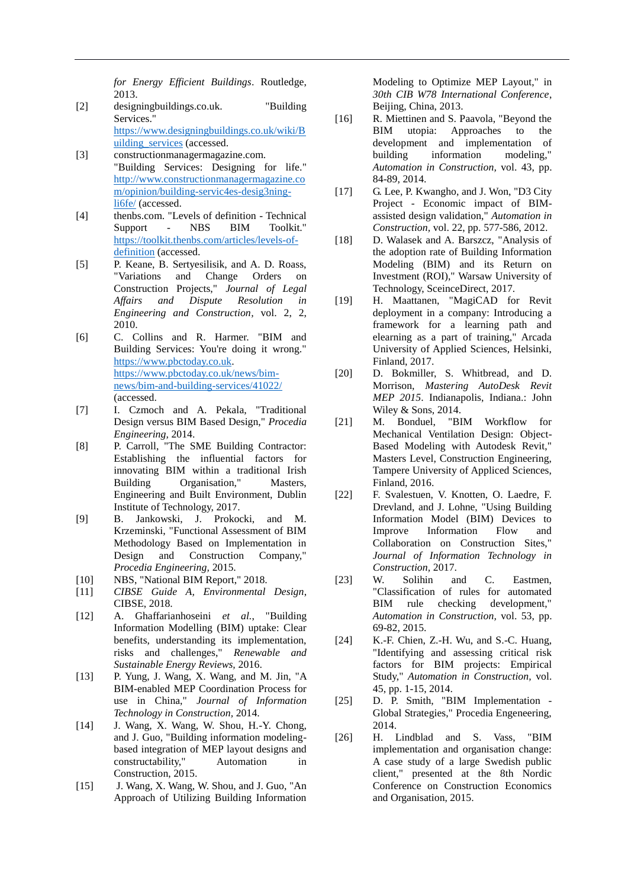*for Energy Efficient Buildings*. Routledge, 2013.

- [2] designingbuildings.co.uk. "Building Services." [https://www.designingbuildings.co.uk/wiki/B](https://www.designingbuildings.co.uk/wiki/Building_services) [uilding\\_services](https://www.designingbuildings.co.uk/wiki/Building_services) (accessed.
- [3] constructionmanagermagazine.com. "Building Services: Designing for life." [http://www.constructionmanagermagazine.co](http://www.constructionmanagermagazine.com/opinion/building-servic4es-desig3ning-li6fe/) [m/opinion/building-servic4es-desig3ning](http://www.constructionmanagermagazine.com/opinion/building-servic4es-desig3ning-li6fe/)[li6fe/](http://www.constructionmanagermagazine.com/opinion/building-servic4es-desig3ning-li6fe/) (accessed.
- [4] thenbs.com. "Levels of definition Technical Support - NBS BIM Toolkit." [https://toolkit.thenbs.com/articles/levels-of](https://toolkit.thenbs.com/articles/levels-of-definition)[definition](https://toolkit.thenbs.com/articles/levels-of-definition) (accessed.
- [5] P. Keane, B. Sertyesilisik, and A. D. Roass, "Variations and Change Orders on Construction Projects," *Journal of Legal Affairs and Dispute Resolution in Engineering and Construction,* vol. 2, 2, 2010.
- [6] C. Collins and R. Harmer. "BIM and Building Services: You're doing it wrong." [https://www.pbctoday.co.uk.](https://www.pbctoday.co.uk/) [https://www.pbctoday.co.uk/news/bim](https://www.pbctoday.co.uk/news/bim-news/bim-and-building-services/41022/)[news/bim-and-building-services/41022/](https://www.pbctoday.co.uk/news/bim-news/bim-and-building-services/41022/) (accessed.
- [7] I. Czmoch and A. Pekala, "Traditional Design versus BIM Based Design," *Procedia Engineering,* 2014.
- [8] P. Carroll, "The SME Building Contractor: Establishing the influential factors for innovating BIM within a traditional Irish Building Organisation," Masters, Engineering and Built Environment, Dublin Institute of Technology, 2017.
- [9] B. Jankowski, J. Prokocki, and M. Krzeminski, "Functional Assessment of BIM Methodology Based on Implementation in Design and Construction Company," *Procedia Engineering,* 2015.
- [10] NBS, "National BIM Report," 2018.
- [11] *CIBSE Guide A, Environmental Design*, CIBSE, 2018.
- [12] A. Ghaffarianhoseini *et al.*, "Building Information Modelling (BIM) uptake: Clear benefits, understanding its implementation, risks and challenges," *Renewable and Sustainable Energy Reviews,* 2016.
- [13] P. Yung, J. Wang, X. Wang, and M. Jin, "A BIM-enabled MEP Coordination Process for use in China," *Journal of Information Technology in Construction,* 2014.
- [14] J. Wang, X. Wang, W. Shou, H.-Y. Chong, and J. Guo, "Building information modelingbased integration of MEP layout designs and constructability," Automation in Construction, 2015.
- [15] J. Wang, X. Wang, W. Shou, and J. Guo, "An Approach of Utilizing Building Information

Modeling to Optimize MEP Layout," in *30th CIB W78 International Conference*, Beijing, China, 2013.

- [16] R. Miettinen and S. Paavola, "Beyond the BIM utopia: Approaches to the development and implementation of building information modeling," *Automation in Construction,* vol. 43, pp. 84-89, 2014.
- [17] G. Lee, P. Kwangho, and J. Won, "D3 City Project - Economic impact of BIMassisted design validation," *Automation in Construction,* vol. 22, pp. 577-586, 2012.
- [18] D. Walasek and A. Barszcz, "Analysis of the adoption rate of Building Information Modeling (BIM) and its Return on Investment (ROI)," Warsaw University of Technology, SceinceDirect, 2017.
- [19] H. Maattanen, "MagiCAD for Revit deployment in a company: Introducing a framework for a learning path and elearning as a part of training," Arcada University of Applied Sciences, Helsinki, Finland, 2017.
- [20] D. Bokmiller, S. Whitbread, and D. Morrison, *Mastering AutoDesk Revit MEP 2015*. Indianapolis, Indiana.: John Wiley & Sons, 2014.
- [21] M. Bonduel, "BIM Workflow for Mechanical Ventilation Design: Object-Based Modeling with Autodesk Revit," Masters Level, Construction Engineering, Tampere University of Appliced Sciences, Finland, 2016.
- [22] F. Svalestuen, V. Knotten, O. Laedre, F. Drevland, and J. Lohne, "Using Building Information Model (BIM) Devices to<br>Improve Information Flow and Improve Information Flow and Collaboration on Construction Sites," *Journal of Information Technology in Construction,* 2017.
- [23] W. Solihin and C. Eastmen, "Classification of rules for automated BIM rule checking development," *Automation in Construction,* vol. 53, pp. 69-82, 2015.
- [24] K.-F. Chien, Z.-H. Wu, and S.-C. Huang, "Identifying and assessing critical risk factors for BIM projects: Empirical Study," *Automation in Construction,* vol. 45, pp. 1-15, 2014.
- [25] D. P. Smith, "BIM Implementation -Global Strategies," Procedia Engeneering, 2014.
- [26] H. Lindblad and S. Vass, "BIM implementation and organisation change: A case study of a large Swedish public client," presented at the 8th Nordic Conference on Construction Economics and Organisation, 2015.